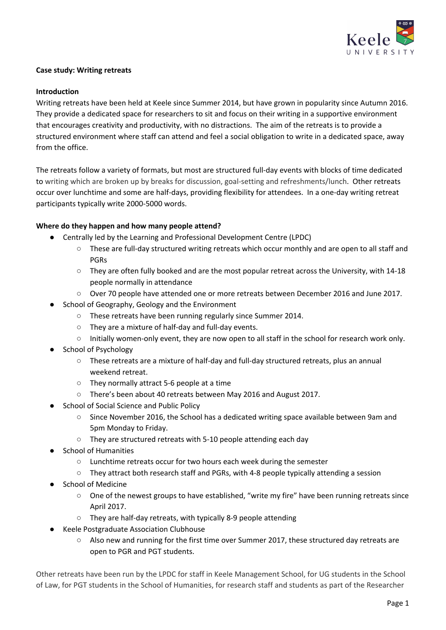

#### **Case study: Writing retreats**

### **Introduction**

Writing retreats have been held at Keele since Summer 2014, but have grown in popularity since Autumn 2016. They provide a dedicated space for researchers to sit and focus on their writing in a supportive environment that encourages creativity and productivity, with no distractions. The aim of the retreats is to provide a structured environment where staff can attend and feel a social obligation to write in a dedicated space, away from the office.

The retreats follow a variety of formats, but most are structured full-day events with blocks of time dedicated to writing which are broken up by breaks for discussion, goal-setting and refreshments/lunch. Other retreats occur over lunchtime and some are half-days, providing flexibility for attendees. In a one-day writing retreat participants typically write 2000-5000 words.

### **Where do they happen and how many people attend?**

- Centrally led by the Learning and Professional Development Centre (LPDC)
	- These are full-day structured writing retreats which occur monthly and are open to all staff and PGRs
	- They are often fully booked and are the most popular retreat across the University, with 14-18 people normally in attendance
	- Over 70 people have attended one or more retreats between December 2016 and June 2017.
- School of Geography, Geology and the Environment
	- These retreats have been running regularly since Summer 2014.
	- They are a mixture of half-day and full-day events.
	- Initially women-only event, they are now open to all staff in the school for research work only.
- School of Psychology
	- These retreats are a mixture of half-day and full-day structured retreats, plus an annual weekend retreat.
	- They normally attract 5-6 people at a time
	- There's been about 40 retreats between May 2016 and August 2017.
- School of Social Science and Public Policy
	- Since November 2016, the School has a dedicated writing space available between 9am and 5pm Monday to Friday.
	- They are structured retreats with 5-10 people attending each day
- **School of Humanities** 
	- Lunchtime retreats occur for two hours each week during the semester
	- They attract both research staff and PGRs, with 4-8 people typically attending a session
- **School of Medicine** 
	- One of the newest groups to have established, "write my fire" have been running retreats since April 2017.
	- They are half-day retreats, with typically 8-9 people attending
- Keele Postgraduate Association Clubhouse
	- Also new and running for the first time over Summer 2017, these structured day retreats are open to PGR and PGT students.

Other retreats have been run by the LPDC for staff in Keele Management School, for UG students in the School of Law, for PGT students in the School of Humanities, for research staff and students as part of the Researcher